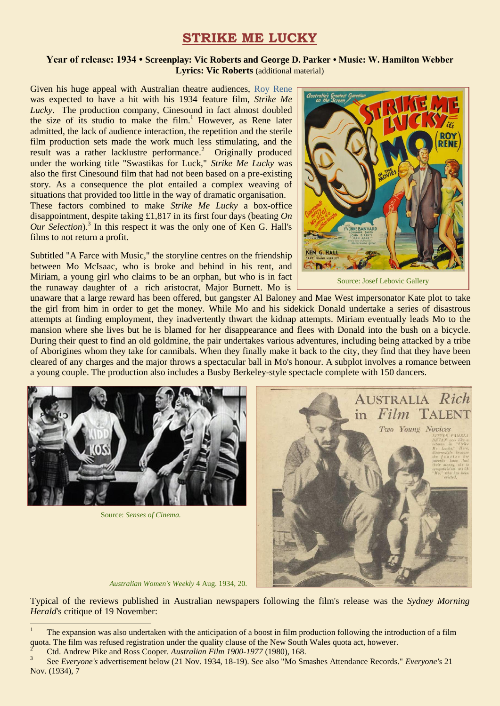## **STRIKE ME LUCKY**

## **Year of release: 1934 • Screenplay: Vic Roberts and George D. Parker • Music: W. Hamilton Webber Lyrics: Vic Roberts** (additional material)

Given his huge appeal with Australian theatre audiences, [Roy Rene](https://ozvta.com/practitioners-r/) was expected to have a hit with his 1934 feature film, *Strike Me Lucky*. The production company, Cinesound in fact almost doubled the size of its studio to make the film.<sup>1</sup> However, as Rene later admitted, the lack of audience interaction, the repetition and the sterile film production sets made the work much less stimulating, and the result was a rather lacklustre performance.<sup>2</sup> Originally produced under the working title "Swastikas for Luck," *Strike Me Lucky* was also the first Cinesound film that had not been based on a pre-existing story. As a consequence the plot entailed a complex weaving of situations that provided too little in the way of dramatic organisation. These factors combined to make *Strike Me Lucky* a box-office disappointment, despite taking £1,817 in its first four days (beating *On Our Selection*). 3 In this respect it was the only one of Ken G. Hall's films to not return a profit.

Subtitled "A Farce with Music," the storyline centres on the friendship between Mo McIsaac, who is broke and behind in his rent, and Miriam, a young girl who claims to be an orphan, but who is in fact the runaway daughter of a rich aristocrat, Major Burnett. Mo is



Source: Josef Lebovic Gallery

unaware that a large reward has been offered, but gangster Al Baloney and Mae West impersonator Kate plot to take the girl from him in order to get the money. While Mo and his sidekick Donald undertake a series of disastrous attempts at finding employment, they inadvertently thwart the kidnap attempts. Miriam eventually leads Mo to the mansion where she lives but he is blamed for her disappearance and flees with Donald into the bush on a bicycle. During their quest to find an old goldmine, the pair undertakes various adventures, including being attacked by a tribe of Aborigines whom they take for cannibals. When they finally make it back to the city, they find that they have been cleared of any charges and the major throws a spectacular ball in Mo's honour. A subplot involves a romance between a young couple. The production also includes a Busby Berkeley-style spectacle complete with 150 dancers.



Source: *Senses of Cinema.*

1



*Australian Women's Weekly* 4 Aug. 1934, 20.

Typical of the reviews published in Australian newspapers following the film's release was the *Sydney Morning Herald*'s critique of 19 November:

<sup>1</sup> The expansion was also undertaken with the anticipation of a boost in film production following the introduction of a film quota. The film was refused registration under the quality clause of the New South Wales quota act, however.

<sup>2</sup> Ctd. Andrew Pike and Ross Cooper. *Australian Film 1900-1977* (1980), 168.

<sup>3</sup> See *Everyone's* advertisement below (21 Nov. 1934, 18-19). See also "Mo Smashes Attendance Records." *Everyone's* 21 Nov. (1934), 7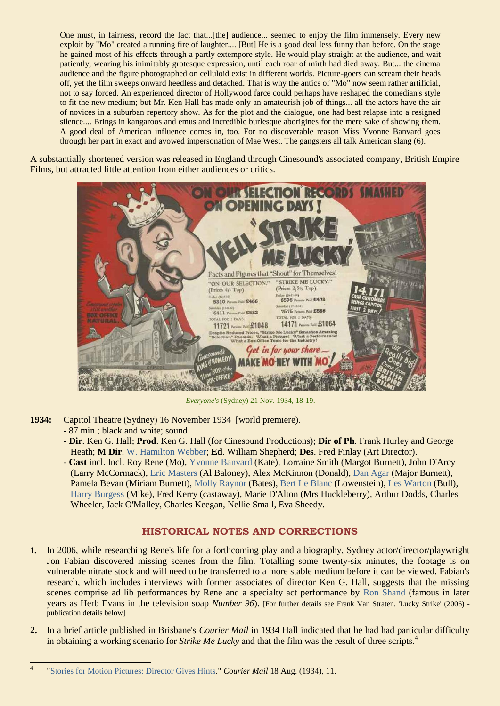One must, in fairness, record the fact that...[the] audience... seemed to enjoy the film immensely. Every new exploit by "Mo" created a running fire of laughter.... [But] He is a good deal less funny than before. On the stage he gained most of his effects through a partly extempore style. He would play straight at the audience, and wait patiently, wearing his inimitably grotesque expression, until each roar of mirth had died away. But... the cinema audience and the figure photographed on celluloid exist in different worlds. Picture-goers can scream their heads off, yet the film sweeps onward heedless and detached. That is why the antics of "Mo" now seem rather artificial, not to say forced. An experienced director of Hollywood farce could perhaps have reshaped the comedian's style to fit the new medium; but Mr. Ken Hall has made only an amateurish job of things... all the actors have the air of novices in a suburban repertory show. As for the plot and the dialogue, one had best relapse into a resigned silence.... Brings in kangaroos and emus and incredible burlesque aborigines for the mere sake of showing them. A good deal of American influence comes in, too. For no discoverable reason Miss Yvonne Banvard goes through her part in exact and avowed impersonation of Mae West. The gangsters all talk American slang (6).

A substantially shortened version was released in England through Cinesound's associated company, British Empire Films, but attracted little attention from either audiences or critics.



*Everyone's* (Sydney) 21 Nov. 1934, 18-19.

- **1934:** Capitol Theatre (Sydney) 16 November 1934 [world premiere).
	- 87 min.; black and white; sound
	- **Dir**. Ken G. Hall; **Prod**. Ken G. Hall (for Cinesound Productions); **Dir of Ph**. Frank Hurley and George Heath; **M Dir**. [W. Hamilton Webber;](http://ozvta.com/music-directors-composers-variety/) **Ed**. William Shepherd; **Des**. Fred Finlay (Art Director).
	- **Cast** incl. Incl. Roy Rene (Mo), [Yvonne Banvard](http://ozvta.com/practitioners-b/) (Kate), Lorraine Smith (Margot Burnett), John D'Arcy (Larry McCormack), [Eric Masters](http://ozvta.com/practitioners-m/) (Al Baloney), Alex McKinnon (Donald), [Dan Agar](http://ozvta.com/practitioners-a/) (Major Burnett), Pamela Bevan (Miriam Burnett), [Molly Raynor](http://ozvta.com/practitioners-r/) (Bates), [Bert Le Blanc](http://ozvta.com/practitioners-l/) (Lowenstein), [Les Warton](http://ozvta.com/practitioners-w/) (Bull), [Harry Burgess](http://ozvta.com/practitioners-b/) (Mike), Fred Kerry (castaway), Marie D'Alton (Mrs Huckleberry), Arthur Dodds, Charles Wheeler, Jack O'Malley, Charles Keegan, Nellie Small, Eva Sheedy.

## **HISTORICAL NOTES AND CORRECTIONS**

- **1.** In 2006, while researching Rene's life for a forthcoming play and a biography, Sydney actor/director/playwright Jon Fabian discovered missing scenes from the film*.* Totalling some twenty-six minutes, the footage is on vulnerable nitrate stock and will need to be transferred to a more stable medium before it can be viewed. Fabian's research, which includes interviews with former associates of director Ken G. Hall, suggests that the missing scenes comprise ad lib performances by Rene and a specialty act performance by [Ron Shand](http://ozvta.com/practitioners-s/) (famous in later years as Herb Evans in the television soap *Number 96*). [For further details see Frank Van Straten. 'Lucky Strike' (2006) publication details below]
- **2.** In a brief article published in Brisbane's *Courier Mail* in 1934 Hall indicated that he had had particular difficulty in obtaining a working scenario for *Strike Me Lucky* and that the film was the result of three scripts.<sup>4</sup>

<sup>-&</sup>lt;br>4 ["Stories for Motion Pictures: Director Gives Hints.](http://trove.nla.gov.au/ndp/del/article/36742437)" *Courier Mail* 18 Aug. (1934), 11.